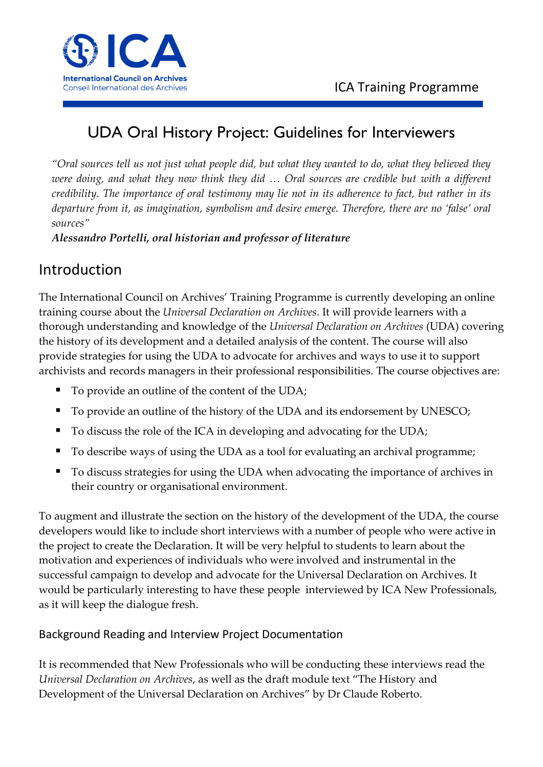

# UDA Oral History Project: Guidelines for Interviewers

*"Oral sources tell us not just what people did, but what they wanted to do, what they believed they were doing, and what they now think they did … Oral sources are credible but with a different credibility. The importance of oral testimony may lie not in its adherence to fact, but rather in its departure from it, as imagination, symbolism and desire emerge. Therefore, there are no 'false' oral sources"*

*Alessandro Portelli, oral historian and professor of literature*

### Introduction

The International Council on Archives' Training Programme is currently developing an online training course about the *Universal Declaration on Archives*. It will provide learners with a thorough understanding and knowledge of the *Universal Declaration on Archives* (UDA) covering the history of its development and a detailed analysis of the content. The course will also provide strategies for using the UDA to advocate for archives and ways to use it to support archivists and records managers in their professional responsibilities. The course objectives are:

- To provide an outline of the content of the UDA;
- To provide an outline of the history of the UDA and its endorsement by UNESCO;
- To discuss the role of the ICA in developing and advocating for the UDA;
- To describe ways of using the UDA as a tool for evaluating an archival programme;
- To discuss strategies for using the UDA when advocating the importance of archives in their country or organisational environment.

To augment and illustrate the section on the history of the development of the UDA, the course developers would like to include short interviews with a number of people who were active in the project to create the Declaration. It will be very helpful to students to learn about the motivation and experiences of individuals who were involved and instrumental in the successful campaign to develop and advocate for the Universal Declaration on Archives. It would be particularly interesting to have these people interviewed by ICA New Professionals, as it will keep the dialogue fresh.

#### Background Reading and Interview Project Documentation

It is recommended that New Professionals who will be conducting these interviews read the *Universal Declaration on Archives*, as well as the draft module text "The History and Development of the Universal Declaration on Archives" by Dr Claude Roberto.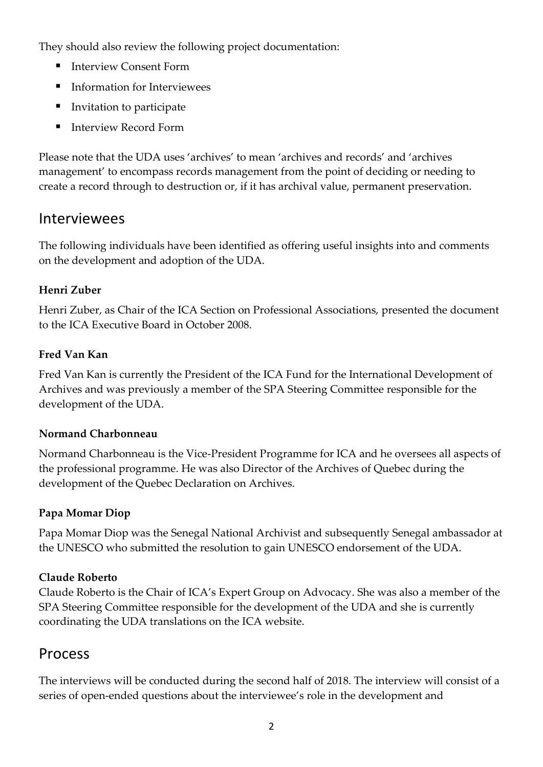They should also review the following project documentation:

- **Interview Consent Form**
- Information for Interviewees
- Invitation to participate
- **Interview Record Form**

Please note that the UDA uses 'archives' to mean 'archives and records' and 'archives management' to encompass records management from the point of deciding or needing to create a record through to destruction or, if it has archival value, permanent preservation.

### Interviewees

The following individuals have been identified as offering useful insights into and comments on the development and adoption of the UDA.

#### **Henri Zuber**

Henri Zuber, as Chair of the ICA Section on Professional Associations, presented the document to the ICA Executive Board in October 2008.

#### **Fred Van Kan**

Fred Van Kan is currently the President of the ICA Fund for the International Development of Archives and was previously a member of the SPA Steering Committee responsible for the development of the UDA.

#### **Normand Charbonneau**

Normand Charbonneau is the Vice-President Programme for ICA and he oversees all aspects of the professional programme. He was also Director of the Archives of Quebec during the development of the Quebec Declaration on Archives.

#### **Papa Momar Diop**

Papa Momar Diop was the Senegal National Archivist and subsequently Senegal ambassador at the UNESCO who submitted the resolution to gain UNESCO endorsement of the UDA.

#### **Claude Roberto**

Claude Roberto is the Chair of ICA's Expert Group on Advocacy. She was also a member of the SPA Steering Committee responsible for the development of the UDA and she is currently coordinating the UDA translations on the ICA website.

#### Process

The interviews will be conducted during the second half of 2018. The interview will consist of a series of open-ended questions about the interviewee's role in the development and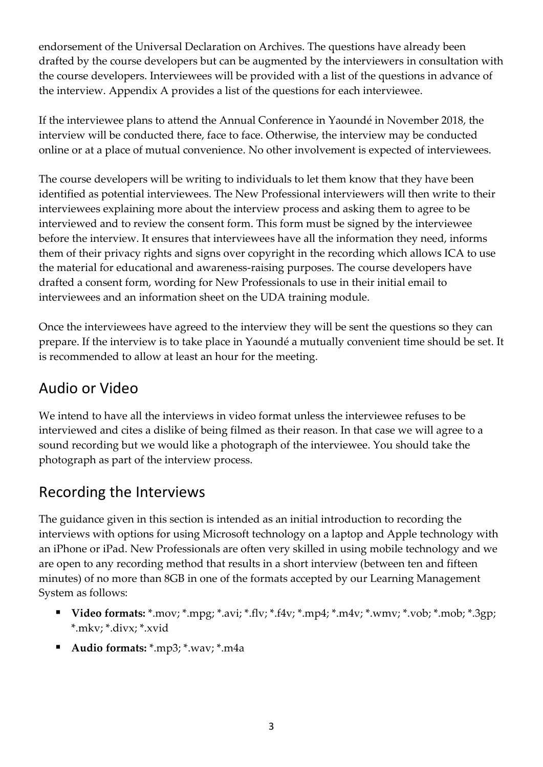endorsement of the Universal Declaration on Archives. The questions have already been drafted by the course developers but can be augmented by the interviewers in consultation with the course developers. Interviewees will be provided with a list of the questions in advance of the interview. Appendix A provides a list of the questions for each interviewee.

If the interviewee plans to attend the Annual Conference in Yaoundé in November 2018, the interview will be conducted there, face to face. Otherwise, the interview may be conducted online or at a place of mutual convenience. No other involvement is expected of interviewees.

The course developers will be writing to individuals to let them know that they have been identified as potential interviewees. The New Professional interviewers will then write to their interviewees explaining more about the interview process and asking them to agree to be interviewed and to review the consent form. This form must be signed by the interviewee before the interview. It ensures that interviewees have all the information they need, informs them of their privacy rights and signs over copyright in the recording which allows ICA to use the material for educational and awareness-raising purposes. The course developers have drafted a consent form, wording for New Professionals to use in their initial email to interviewees and an information sheet on the UDA training module.

Once the interviewees have agreed to the interview they will be sent the questions so they can prepare. If the interview is to take place in Yaoundé a mutually convenient time should be set. It is recommended to allow at least an hour for the meeting.

# Audio or Video

We intend to have all the interviews in video format unless the interviewee refuses to be interviewed and cites a dislike of being filmed as their reason. In that case we will agree to a sound recording but we would like a photograph of the interviewee. You should take the photograph as part of the interview process.

### Recording the Interviews

The guidance given in this section is intended as an initial introduction to recording the interviews with options for using Microsoft technology on a laptop and Apple technology with an iPhone or iPad. New Professionals are often very skilled in using mobile technology and we are open to any recording method that results in a short interview (between ten and fifteen minutes) of no more than 8GB in one of the formats accepted by our Learning Management System as follows:

- **Video formats:** \*.mov; \*.mpg; \*.avi; \*.flv; \*.f4v; \*.mp4; \*.m4v; \*.wmv; \*.vob; \*.mob; \*.3gp; \*.mkv; \*.divx; \*.xvid
- **Audio formats:** \*.mp3; \*.wav; \*.m4a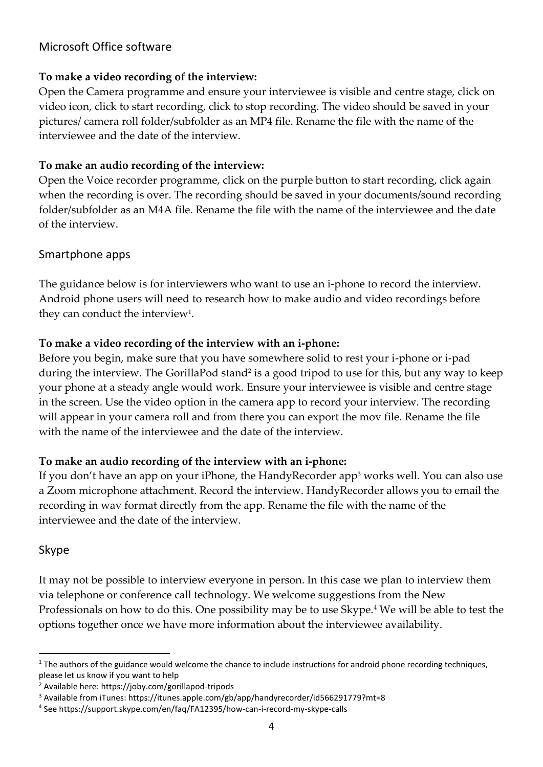#### Microsoft Office software

#### **To make a video recording of the interview:**

Open the Camera programme and ensure your interviewee is visible and centre stage, click on video icon, click to start recording, click to stop recording. The video should be saved in your pictures/ camera roll folder/subfolder as an MP4 file. Rename the file with the name of the interviewee and the date of the interview.

#### **To make an audio recording of the interview:**

Open the Voice recorder programme, click on the purple button to start recording, click again when the recording is over. The recording should be saved in your documents/sound recording folder/subfolder as an M4A file. Rename the file with the name of the interviewee and the date of the interview.

#### Smartphone apps

The guidance below is for interviewers who want to use an i-phone to record the interview. Android phone users will need to research how to make audio and video recordings before they can conduct the interview<sup>1</sup>.

#### **To make a video recording of the interview with an i-phone:**

Before you begin, make sure that you have somewhere solid to rest your i-phone or i-pad during the interview. The GorillaPod stand<sup>2</sup> is a good tripod to use for this, but any way to keep your phone at a steady angle would work. Ensure your interviewee is visible and centre stage in the screen. Use the video option in the camera app to record your interview. The recording will appear in your camera roll and from there you can export the mov file. Rename the file with the name of the interviewee and the date of the interview.

#### **To make an audio recording of the interview with an i-phone:**

If you don't have an app on your iPhone, the HandyRecorder app<sup>3</sup> works well. You can also use a Zoom microphone attachment. Record the interview. HandyRecorder allows you to email the recording in wav format directly from the app. Rename the file with the name of the interviewee and the date of the interview.

#### Skype

It may not be possible to interview everyone in person. In this case we plan to interview them via telephone or conference call technology. We welcome suggestions from the New Professionals on how to do this. One possibility may be to use Skype.<sup>4</sup> We will be able to test the options together once we have more information about the interviewee availability.

<sup>&</sup>lt;sup>1</sup> The authors of the guidance would welcome the chance to include instructions for android phone recording techniques, please let us know if you want to help

<sup>2</sup> Available here: https://joby.com/gorillapod-tripods

<sup>3</sup> Available from iTunes: https://itunes.apple.com/gb/app/handyrecorder/id566291779?mt=8

<sup>4</sup> See https://support.skype.com/en/faq/FA12395/how-can-i-record-my-skype-calls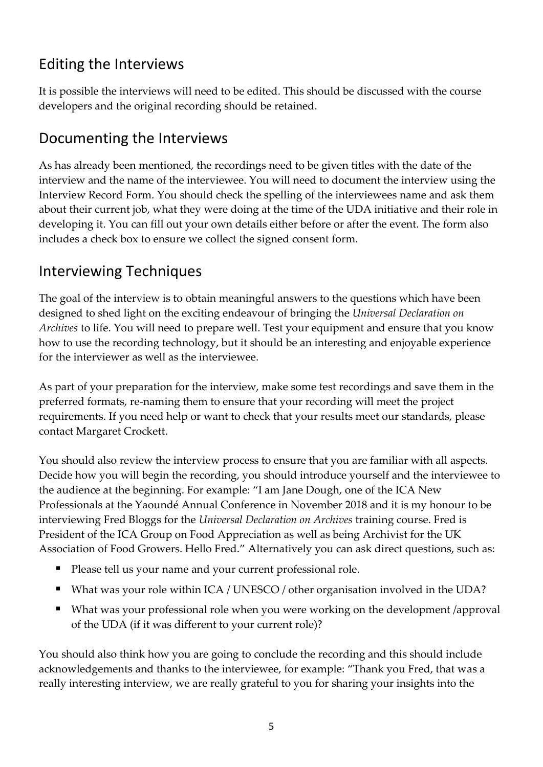# Editing the Interviews

It is possible the interviews will need to be edited. This should be discussed with the course developers and the original recording should be retained.

### Documenting the Interviews

As has already been mentioned, the recordings need to be given titles with the date of the interview and the name of the interviewee. You will need to document the interview using the Interview Record Form. You should check the spelling of the interviewees name and ask them about their current job, what they were doing at the time of the UDA initiative and their role in developing it. You can fill out your own details either before or after the event. The form also includes a check box to ensure we collect the signed consent form.

### Interviewing Techniques

The goal of the interview is to obtain meaningful answers to the questions which have been designed to shed light on the exciting endeavour of bringing the *Universal Declaration on Archives* to life. You will need to prepare well. Test your equipment and ensure that you know how to use the recording technology, but it should be an interesting and enjoyable experience for the interviewer as well as the interviewee.

As part of your preparation for the interview, make some test recordings and save them in the preferred formats, re-naming them to ensure that your recording will meet the project requirements. If you need help or want to check that your results meet our standards, please contact Margaret Crockett.

You should also review the interview process to ensure that you are familiar with all aspects. Decide how you will begin the recording, you should introduce yourself and the interviewee to the audience at the beginning. For example: "I am Jane Dough, one of the ICA New Professionals at the Yaoundé Annual Conference in November 2018 and it is my honour to be interviewing Fred Bloggs for the *Universal Declaration on Archives* training course. Fred is President of the ICA Group on Food Appreciation as well as being Archivist for the UK Association of Food Growers. Hello Fred." Alternatively you can ask direct questions, such as:

- Please tell us your name and your current professional role.
- What was your role within ICA / UNESCO / other organisation involved in the UDA?
- What was your professional role when you were working on the development /approval of the UDA (if it was different to your current role)?

You should also think how you are going to conclude the recording and this should include acknowledgements and thanks to the interviewee, for example: "Thank you Fred, that was a really interesting interview, we are really grateful to you for sharing your insights into the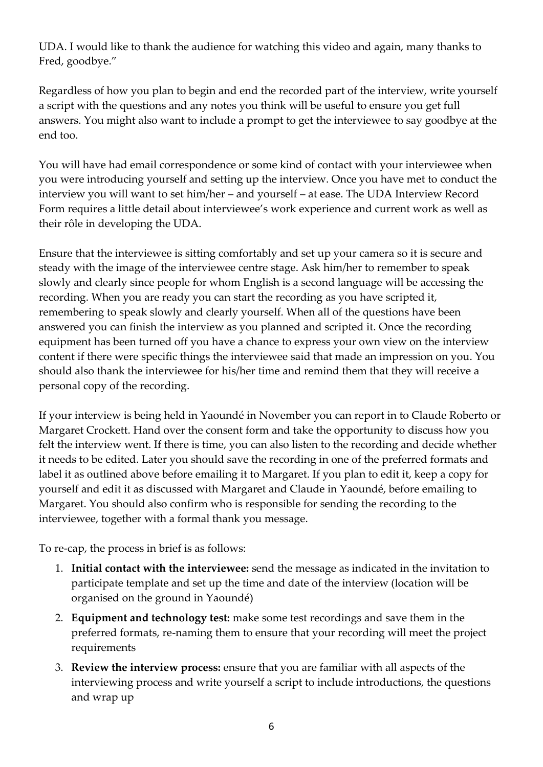UDA. I would like to thank the audience for watching this video and again, many thanks to Fred, goodbye."

Regardless of how you plan to begin and end the recorded part of the interview, write yourself a script with the questions and any notes you think will be useful to ensure you get full answers. You might also want to include a prompt to get the interviewee to say goodbye at the end too.

You will have had email correspondence or some kind of contact with your interviewee when you were introducing yourself and setting up the interview. Once you have met to conduct the interview you will want to set him/her – and yourself – at ease. The UDA Interview Record Form requires a little detail about interviewee's work experience and current work as well as their rôle in developing the UDA.

Ensure that the interviewee is sitting comfortably and set up your camera so it is secure and steady with the image of the interviewee centre stage. Ask him/her to remember to speak slowly and clearly since people for whom English is a second language will be accessing the recording. When you are ready you can start the recording as you have scripted it, remembering to speak slowly and clearly yourself. When all of the questions have been answered you can finish the interview as you planned and scripted it. Once the recording equipment has been turned off you have a chance to express your own view on the interview content if there were specific things the interviewee said that made an impression on you. You should also thank the interviewee for his/her time and remind them that they will receive a personal copy of the recording.

If your interview is being held in Yaoundé in November you can report in to Claude Roberto or Margaret Crockett. Hand over the consent form and take the opportunity to discuss how you felt the interview went. If there is time, you can also listen to the recording and decide whether it needs to be edited. Later you should save the recording in one of the preferred formats and label it as outlined above before emailing it to Margaret. If you plan to edit it, keep a copy for yourself and edit it as discussed with Margaret and Claude in Yaoundé, before emailing to Margaret. You should also confirm who is responsible for sending the recording to the interviewee, together with a formal thank you message.

To re-cap, the process in brief is as follows:

- 1. **Initial contact with the interviewee:** send the message as indicated in the invitation to participate template and set up the time and date of the interview (location will be organised on the ground in Yaoundé)
- 2. **Equipment and technology test:** make some test recordings and save them in the preferred formats, re-naming them to ensure that your recording will meet the project requirements
- 3. **Review the interview process:** ensure that you are familiar with all aspects of the interviewing process and write yourself a script to include introductions, the questions and wrap up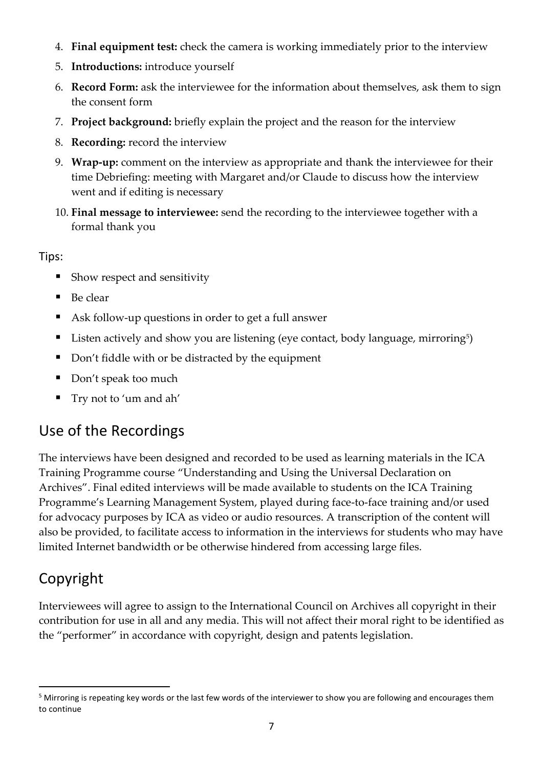- 4. **Final equipment test:** check the camera is working immediately prior to the interview
- 5. **Introductions:** introduce yourself
- 6. **Record Form:** ask the interviewee for the information about themselves, ask them to sign the consent form
- 7. **Project background:** briefly explain the project and the reason for the interview
- 8. **Recording:** record the interview
- 9. **Wrap-up:** comment on the interview as appropriate and thank the interviewee for their time Debriefing: meeting with Margaret and/or Claude to discuss how the interview went and if editing is necessary
- 10. **Final message to interviewee:** send the recording to the interviewee together with a formal thank you

#### Tips:

- Show respect and sensitivity
- $\blacksquare$  Be clear
- Ask follow-up questions in order to get a full answer
- Listen actively and show you are listening (eye contact, body language, mirroring<sup>5</sup>)
- Don't fiddle with or be distracted by the equipment
- Don't speak too much
- Try not to 'um and ah'

# Use of the Recordings

The interviews have been designed and recorded to be used as learning materials in the ICA Training Programme course "Understanding and Using the Universal Declaration on Archives". Final edited interviews will be made available to students on the ICA Training Programme's Learning Management System, played during face-to-face training and/or used for advocacy purposes by ICA as video or audio resources. A transcription of the content will also be provided, to facilitate access to information in the interviews for students who may have limited Internet bandwidth or be otherwise hindered from accessing large files.

# Copyright

Interviewees will agree to assign to the International Council on Archives all copyright in their contribution for use in all and any media. This will not affect their moral right to be identified as the "performer" in accordance with copyright, design and patents legislation.

<sup>&</sup>lt;sup>5</sup> Mirroring is repeating key words or the last few words of the interviewer to show you are following and encourages them to continue